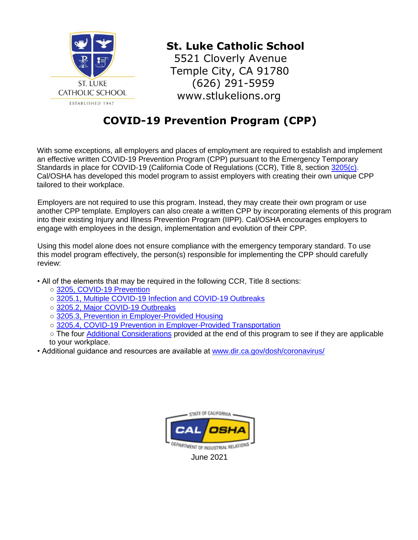

# **St. Luke Catholic School**

 5521 Cloverly Avenue Temple City, CA 91780 (626) 291-5959 www.stlukelions.org

# **COVID-19 Prevention Program (CPP)**

With some exceptions, all employers and places of employment are required to establish and implement an effective written COVID-19 Prevention Program (CPP) pursuant to the Emergency Temporary Standards in place for COVID-19 (California Code of Regulations (CCR), Title 8, section 3205(c). Cal/OSHA has developed this model program to assist employers with creating their own unique CPP tailored to their workplace.

Employers are not required to use this program. Instead, they may create their own program or use another CPP template. Employers can also create a written CPP by incorporating elements of this program into their existing Injury and Illness Prevention Program (IIPP). Cal/OSHA encourages employers to engage with employees in the design, implementation and evolution of their CPP.

Using this model alone does not ensure compliance with the emergency temporary standard. To use this model program effectively, the person(s) responsible for implementing the CPP should carefully review:

- All of the elements that may be required in the following CCR, Title 8 sections:
	- 3205, COVID-19 Prevention
	- o 3205.1, Multiple COVID-19 Infection and COVID-19 Outbreaks
	- 3205.2, Major COVID-19 Outbreaks
	- 3205.3, Prevention in Employer-Provided Housing
	- 3205.4, COVID-19 Prevention in Employer-Provided Transportation
	- The four Additional Considerations provided at the end of this program to see if they are applicable to your workplace.
- Additional guidance and resources are available at www.dir.ca.gov/dosh/coronavirus/

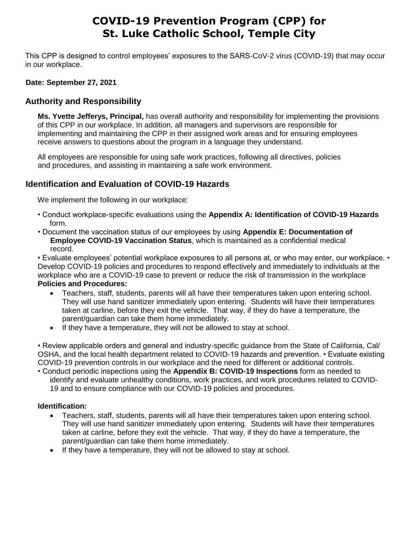# **COVID-19 Prevention Program (CPP) for St. Luke Catholic School, Temple City**

This CPP is designed to control employees' exposures to the SARS-CoV-2 virus (COVID-19) that may occur in our workplace.

### **Date: September 27, 2021**

# **Authority and Responsibility**

**Ms. Yvette Jefferys, Principal,** has overall authority and responsibility for implementing the provisions of this CPP in our workplace. In addition, all managers and supervisors are responsible for implementing and maintaining the CPP in their assigned work areas and for ensuring employees receive answers to questions about the program in a language they understand.

All employees are responsible for using safe work practices, following all directives, policies and procedures, and assisting in maintaining a safe work environment.

# **Identification and Evaluation of COVID-19 Hazards**

We implement the following in our workplace:

- Conduct workplace-specific evaluations using the **Appendix A: Identification of COVID-19 Hazards**  form.
- Document the vaccination status of our employees by using **Appendix E: Documentation of Employee COVID-19 Vaccination Status**, which is maintained as a confidential medical record.

• Evaluate employees' potential workplace exposures to all persons at, or who may enter, our workplace. • Develop COVID-19 policies and procedures to respond effectively and immediately to individuals at the workplace who are a COVID-19 case to prevent or reduce the risk of transmission in the workplace  **Policies and Procedures:**

- Teachers, staff, students, parents will all have their temperatures taken upon entering school. They will use hand sanitizer immediately upon entering. Students will have their temperatures taken at carline, before they exit the vehicle. That way, if they do have a temperature, the parent/guardian can take them home immediately.
- If they have a temperature, they will not be allowed to stay at school.

• Review applicable orders and general and industry-specific guidance from the State of California, Cal/ OSHA, and the local health department related to COVID-19 hazards and prevention. • Evaluate existing COVID-19 prevention controls in our workplace and the need for different or additional controls.

• Conduct periodic inspections using the **Appendix B: COVID-19 Inspections** form as needed to identify and evaluate unhealthy conditions, work practices, and work procedures related to COVID-19 and to ensure compliance with our COVID-19 policies and procedures.

## **Identification:**

- Teachers, staff, students, parents will all have their temperatures taken upon entering school. They will use hand sanitizer immediately upon entering. Students will have their temperatures taken at carline, before they exit the vehicle. That way, if they do have a temperature, the parent/guardian can take them home immediately.
- If they have a temperature, they will not be allowed to stay at school.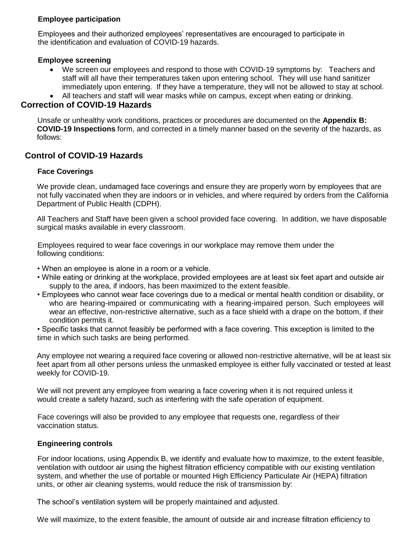## **Employee participation**

Employees and their authorized employees' representatives are encouraged to participate in the identification and evaluation of COVID-19 hazards.

### **Employee screening**

- We screen our employees and respond to those with COVID-19 symptoms by: Teachers and staff will all have their temperatures taken upon entering school. They will use hand sanitizer immediately upon entering. If they have a temperature, they will not be allowed to stay at school.
- All teachers and staff will wear masks while on campus, except when eating or drinking.

# **Correction of COVID-19 Hazards**

Unsafe or unhealthy work conditions, practices or procedures are documented on the **Appendix B: COVID-19 Inspections** form, and corrected in a timely manner based on the severity of the hazards, as follows:

# **Control of COVID-19 Hazards**

### **Face Coverings**

We provide clean, undamaged face coverings and ensure they are properly worn by employees that are not fully vaccinated when they are indoors or in vehicles, and where required by orders from the California Department of Public Health (CDPH).

All Teachers and Staff have been given a school provided face covering. In addition, we have disposable surgical masks available in every classroom.

Employees required to wear face coverings in our workplace may remove them under the following conditions:

• When an employee is alone in a room or a vehicle.

- While eating or drinking at the workplace, provided employees are at least six feet apart and outside air supply to the area, if indoors, has been maximized to the extent feasible.
- Employees who cannot wear face coverings due to a medical or mental health condition or disability, or who are hearing-impaired or communicating with a hearing-impaired person. Such employees will wear an effective, non-restrictive alternative, such as a face shield with a drape on the bottom, if their condition permits it.

• Specific tasks that cannot feasibly be performed with a face covering. This exception is limited to the time in which such tasks are being performed.

Any employee not wearing a required face covering or allowed non-restrictive alternative, will be at least six feet apart from all other persons unless the unmasked employee is either fully vaccinated or tested at least weekly for COVID-19.

We will not prevent any employee from wearing a face covering when it is not required unless it would create a safety hazard, such as interfering with the safe operation of equipment.

Face coverings will also be provided to any employee that requests one, regardless of their vaccination status.

#### **Engineering controls**

For indoor locations, using Appendix B, we identify and evaluate how to maximize, to the extent feasible, ventilation with outdoor air using the highest filtration efficiency compatible with our existing ventilation system, and whether the use of portable or mounted High Efficiency Particulate Air (HEPA) filtration units, or other air cleaning systems, would reduce the risk of transmission by:

The school's ventilation system will be properly maintained and adjusted.

We will maximize, to the extent feasible, the amount of outside air and increase filtration efficiency to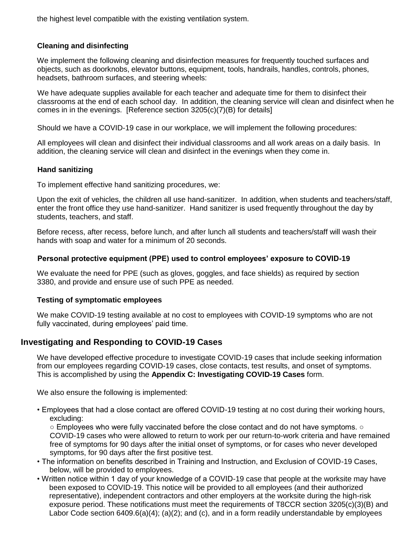the highest level compatible with the existing ventilation system.

# **Cleaning and disinfecting**

We implement the following cleaning and disinfection measures for frequently touched surfaces and objects, such as doorknobs, elevator buttons, equipment, tools, handrails, handles, controls, phones, headsets, bathroom surfaces, and steering wheels:

We have adequate supplies available for each teacher and adequate time for them to disinfect their classrooms at the end of each school day. In addition, the cleaning service will clean and disinfect when he comes in in the evenings. [Reference section 3205(c)(7)(B) for details]

Should we have a COVID-19 case in our workplace, we will implement the following procedures:

All employees will clean and disinfect their individual classrooms and all work areas on a daily basis. In addition, the cleaning service will clean and disinfect in the evenings when they come in.

### **Hand sanitizing**

To implement effective hand sanitizing procedures, we:

Upon the exit of vehicles, the children all use hand-sanitizer. In addition, when students and teachers/staff, enter the front office they use hand-sanitizer. Hand sanitizer is used frequently throughout the day by students, teachers, and staff.

Before recess, after recess, before lunch, and after lunch all students and teachers/staff will wash their hands with soap and water for a minimum of 20 seconds.

### **Personal protective equipment (PPE) used to control employees' exposure to COVID-19**

We evaluate the need for PPE (such as gloves, goggles, and face shields) as required by section 3380, and provide and ensure use of such PPE as needed.

#### **Testing of symptomatic employees**

We make COVID-19 testing available at no cost to employees with COVID-19 symptoms who are not fully vaccinated, during employees' paid time.

# **Investigating and Responding to COVID-19 Cases**

We have developed effective procedure to investigate COVID-19 cases that include seeking information from our employees regarding COVID-19 cases, close contacts, test results, and onset of symptoms. This is accomplished by using the **Appendix C: Investigating COVID-19 Cases** form.

We also ensure the following is implemented:

• Employees that had a close contact are offered COVID-19 testing at no cost during their working hours, excluding:

○ Employees who were fully vaccinated before the close contact and do not have symptoms. ○ COVID-19 cases who were allowed to return to work per our return-to-work criteria and have remained free of symptoms for 90 days after the initial onset of symptoms, or for cases who never developed symptoms, for 90 days after the first positive test.

- The information on benefits described in Training and Instruction, and Exclusion of COVID-19 Cases, below, will be provided to employees.
- Written notice within 1 day of your knowledge of a COVID-19 case that people at the worksite may have been exposed to COVID-19. This notice will be provided to all employees (and their authorized representative), independent contractors and other employers at the worksite during the high-risk exposure period. These notifications must meet the requirements of T8CCR section 3205(c)(3)(B) and Labor Code section 6409.6(a)(4); (a)(2); and (c), and in a form readily understandable by employees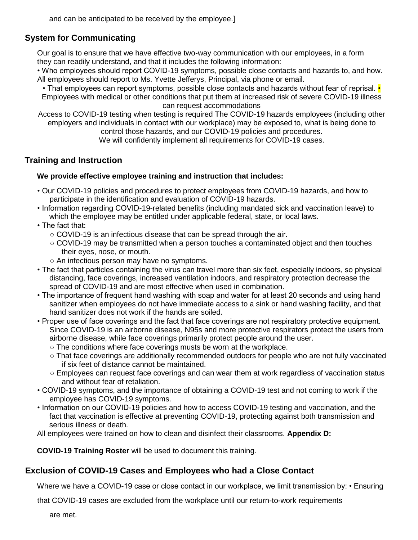# **System for Communicating**

Our goal is to ensure that we have effective two-way communication with our employees, in a form they can readily understand, and that it includes the following information:

• Who employees should report COVID-19 symptoms, possible close contacts and hazards to, and how. All employees should report to Ms. Yvette Jefferys, Principal, via phone or email.

• That employees can report symptoms, possible close contacts and hazards without fear of reprisal. • Employees with medical or other conditions that put them at increased risk of severe COVID-19 illness can request accommodations

Access to COVID-19 testing when testing is required The COVID-19 hazards employees (including other employers and individuals in contact with our workplace) may be exposed to, what is being done to control those hazards, and our COVID-19 policies and procedures.

We will confidently implement all requirements for COVID-19 cases.

# **Training and Instruction**

## **We provide effective employee training and instruction that includes:**

- Our COVID-19 policies and procedures to protect employees from COVID-19 hazards, and how to participate in the identification and evaluation of COVID-19 hazards.
- Information regarding COVID-19-related benefits (including mandated sick and vaccination leave) to which the employee may be entitled under applicable federal, state, or local laws.
- The fact that:
	- COVID-19 is an infectious disease that can be spread through the air.
	- COVID-19 may be transmitted when a person touches a contaminated object and then touches their eyes, nose, or mouth.
	- An infectious person may have no symptoms.
- The fact that particles containing the virus can travel more than six feet, especially indoors, so physical distancing, face coverings, increased ventilation indoors, and respiratory protection decrease the spread of COVID-19 and are most effective when used in combination.
- The importance of frequent hand washing with soap and water for at least 20 seconds and using hand sanitizer when employees do not have immediate access to a sink or hand washing facility, and that hand sanitizer does not work if the hands are soiled.
- Proper use of face coverings and the fact that face coverings are not respiratory protective equipment. Since COVID-19 is an airborne disease, N95s and more protective respirators protect the users from airborne disease, while face coverings primarily protect people around the user.
	- The conditions where face coverings musts be worn at the workplace.
	- That face coverings are additionally recommended outdoors for people who are not fully vaccinated if six feet of distance cannot be maintained.
	- Employees can request face coverings and can wear them at work regardless of vaccination status and without fear of retaliation.
- COVID-19 symptoms, and the importance of obtaining a COVID-19 test and not coming to work if the employee has COVID-19 symptoms.
- Information on our COVID-19 policies and how to access COVID-19 testing and vaccination, and the fact that vaccination is effective at preventing COVID-19, protecting against both transmission and serious illness or death.

All employees were trained on how to clean and disinfect their classrooms. **Appendix D:** 

**COVID-19 Training Roster** will be used to document this training.

# **Exclusion of COVID-19 Cases and Employees who had a Close Contact**

Where we have a COVID-19 case or close contact in our workplace, we limit transmission by: • Ensuring

that COVID-19 cases are excluded from the workplace until our return-to-work requirements

are met.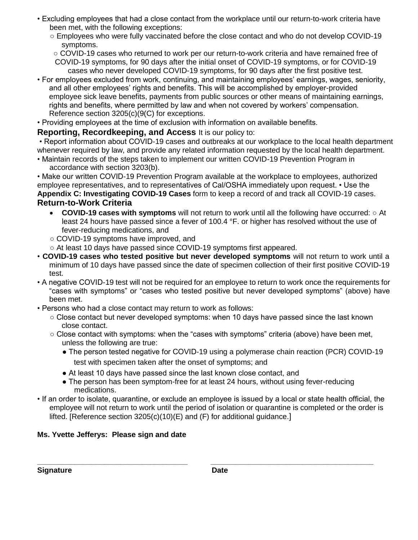- Excluding employees that had a close contact from the workplace until our return-to-work criteria have been met, with the following exceptions:
	- Employees who were fully vaccinated before the close contact and who do not develop COVID-19 symptoms.

**○** COVID-19 cases who returned to work per our return-to-work criteria and have remained free of COVID-19 symptoms, for 90 days after the initial onset of COVID-19 symptoms, or for COVID-19 cases who never developed COVID-19 symptoms, for 90 days after the first positive test.

• For employees excluded from work, continuing, and maintaining employees' earnings, wages, seniority, and all other employees' rights and benefits. This will be accomplished by employer-provided employee sick leave benefits, payments from public sources or other means of maintaining earnings, rights and benefits, where permitted by law and when not covered by workers' compensation. Reference section 3205(c)(9(C) for exceptions.

• Providing employees at the time of exclusion with information on available benefits.

**Reporting, Recordkeeping, and Access** It is our policy to:

• Report information about COVID-19 cases and outbreaks at our workplace to the local health department whenever required by law, and provide any related information requested by the local health department.

• Maintain records of the steps taken to implement our written COVID-19 Prevention Program in accordance with section 3203(b).

• Make our written COVID-19 Prevention Program available at the workplace to employees, authorized employee representatives, and to representatives of Cal/OSHA immediately upon request. • Use the **Appendix C: Investigating COVID-19 Cases** form to keep a record of and track all COVID-19 cases. **Return-to-Work Criteria** 

- **COVID-19 cases with symptoms** will not return to work until all the following have occurred: At least 24 hours have passed since a fever of 100.4 °F. or higher has resolved without the use of fever-reducing medications, and
- COVID-19 symptoms have improved, and
- At least 10 days have passed since COVID-19 symptoms first appeared.
- **COVID-19 cases who tested positive but never developed symptoms** will not return to work until a minimum of 10 days have passed since the date of specimen collection of their first positive COVID-19 test.
- A negative COVID-19 test will not be required for an employee to return to work once the requirements for "cases with symptoms" or "cases who tested positive but never developed symptoms" (above) have been met.
- Persons who had a close contact may return to work as follows:
	- Close contact but never developed symptoms: when 10 days have passed since the last known close contact.
	- Close contact with symptoms: when the "cases with symptoms" criteria (above) have been met, unless the following are true:
		- The person tested negative for COVID-19 using a polymerase chain reaction (PCR) COVID-19 test with specimen taken after the onset of symptoms; and
		- At least 10 days have passed since the last known close contact, and
		- The person has been symptom-free for at least 24 hours, without using fever-reducing medications.
- If an order to isolate, quarantine, or exclude an employee is issued by a local or state health official, the employee will not return to work until the period of isolation or quarantine is completed or the order is lifted. [Reference section 3205(c)(10)(E) and (F) for additional guidance.]

**\_\_\_\_\_\_\_\_\_\_\_\_\_\_\_\_\_\_\_\_\_\_\_\_\_\_\_\_\_\_\_\_\_\_\_\_ \_\_\_\_\_\_\_\_\_\_\_\_\_\_\_\_\_\_\_\_\_\_\_\_\_\_\_\_\_\_\_\_\_\_\_\_\_\_\_**

# **Ms. Yvette Jefferys: Please sign and date**

| <b>Signature</b> | <b>Date</b> |
|------------------|-------------|
|                  |             |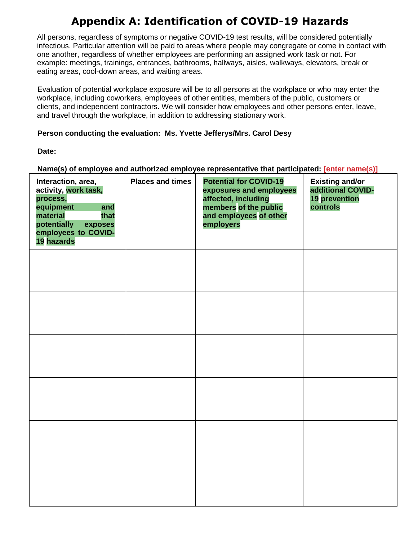# **Appendix A: Identification of COVID-19 Hazards**

All persons, regardless of symptoms or negative COVID-19 test results, will be considered potentially infectious. Particular attention will be paid to areas where people may congregate or come in contact with one another, regardless of whether employees are performing an assigned work task or not. For example: meetings, trainings, entrances, bathrooms, hallways, aisles, walkways, elevators, break or eating areas, cool-down areas, and waiting areas.

Evaluation of potential workplace exposure will be to all persons at the workplace or who may enter the workplace, including coworkers, employees of other entities, members of the public, customers or clients, and independent contractors. We will consider how employees and other persons enter, leave, and travel through the workplace, in addition to addressing stationary work.

# **Person conducting the evaluation: Ms. Yvette Jefferys/Mrs. Carol Desy**

**Date:** 

**Name(s) of employee and authorized employee representative that participated: [enter name(s)]**

| Interaction, area,<br>activity, work task,<br>process,<br>equipment<br>and<br>material<br>that<br>potentially<br>exposes<br>employees to COVID-<br>19 hazards | <b>Places and times</b> | <b>Potential for COVID-19</b><br>exposures and employees<br>affected, including<br>members of the public<br>and employees of other<br>employers | <b>Existing and/or<br/>additional COVID-</b><br><b>19 prevention</b><br>controls |
|---------------------------------------------------------------------------------------------------------------------------------------------------------------|-------------------------|-------------------------------------------------------------------------------------------------------------------------------------------------|----------------------------------------------------------------------------------|
|                                                                                                                                                               |                         |                                                                                                                                                 |                                                                                  |
|                                                                                                                                                               |                         |                                                                                                                                                 |                                                                                  |
|                                                                                                                                                               |                         |                                                                                                                                                 |                                                                                  |
|                                                                                                                                                               |                         |                                                                                                                                                 |                                                                                  |
|                                                                                                                                                               |                         |                                                                                                                                                 |                                                                                  |
|                                                                                                                                                               |                         |                                                                                                                                                 |                                                                                  |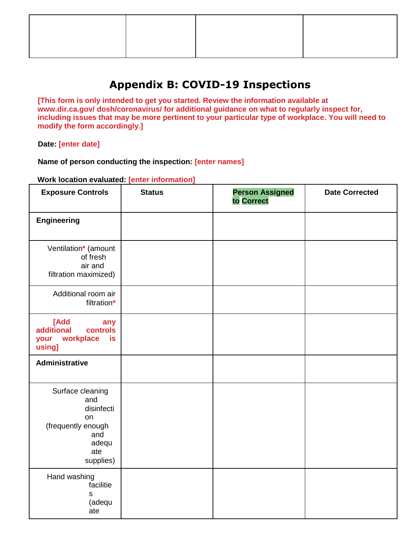# **Appendix B: COVID-19 Inspections**

**[This form is only intended to get you started. Review the information available at www.dir.ca.gov/ dosh/coronavirus/ for additional guidance on what to regularly inspect for, including issues that may be more pertinent to your particular type of workplace. You will need to modify the form accordingly.]** 

**Date: [enter date]** 

**Name of person conducting the inspection: [enter names]** 

### **Work location evaluated: [enter information]**

| <b>Exposure Controls</b>                                                                              | <b>Status</b> | <b>Person Assigned</b><br>to Correct | <b>Date Corrected</b> |
|-------------------------------------------------------------------------------------------------------|---------------|--------------------------------------|-----------------------|
| <b>Engineering</b>                                                                                    |               |                                      |                       |
| Ventilation* (amount<br>of fresh<br>air and<br>filtration maximized)                                  |               |                                      |                       |
| Additional room air<br>filtration*                                                                    |               |                                      |                       |
| [Add<br>any<br>additional<br>controls<br>workplace<br>your<br>is<br>using]                            |               |                                      |                       |
| Administrative                                                                                        |               |                                      |                       |
| Surface cleaning<br>and<br>disinfecti<br>on<br>(frequently enough<br>and<br>adequ<br>ate<br>supplies) |               |                                      |                       |
| Hand washing<br>facilitie<br>S<br>(adequ<br>ate                                                       |               |                                      |                       |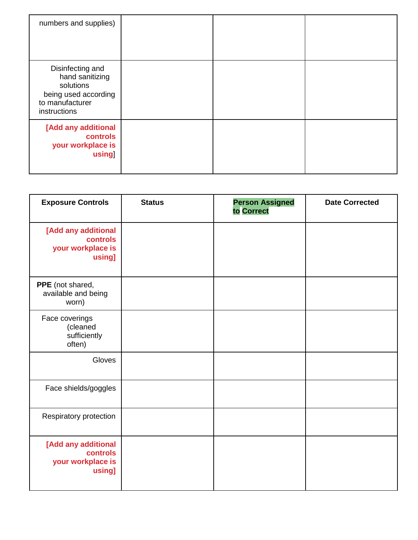| numbers and supplies)                                                                                       |  |  |
|-------------------------------------------------------------------------------------------------------------|--|--|
| Disinfecting and<br>hand sanitizing<br>solutions<br>being used according<br>to manufacturer<br>instructions |  |  |
| [Add any additional<br>controls<br>your workplace is<br>using                                               |  |  |

| <b>Exposure Controls</b>                                              | <b>Status</b> | <b>Person Assigned</b><br>to Correct | <b>Date Corrected</b> |
|-----------------------------------------------------------------------|---------------|--------------------------------------|-----------------------|
| [Add any additional<br>controls<br>your workplace is<br>using]        |               |                                      |                       |
| PPE (not shared,<br>available and being<br>worn)                      |               |                                      |                       |
| Face coverings<br>(cleaned<br>sufficiently<br>often)                  |               |                                      |                       |
| Gloves                                                                |               |                                      |                       |
| Face shields/goggles                                                  |               |                                      |                       |
| Respiratory protection                                                |               |                                      |                       |
| [Add any additional<br><b>controls</b><br>your workplace is<br>using] |               |                                      |                       |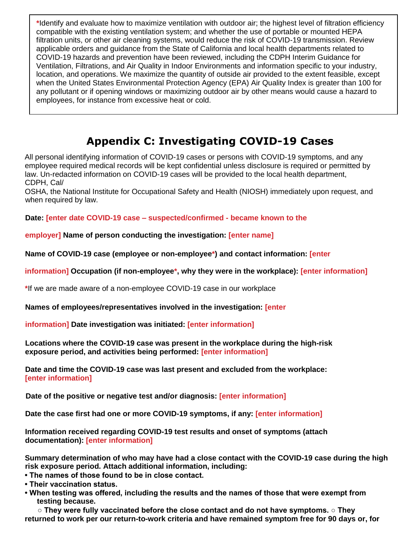**\***Identify and evaluate how to maximize ventilation with outdoor air; the highest level of filtration efficiency compatible with the existing ventilation system; and whether the use of portable or mounted HEPA filtration units, or other air cleaning systems, would reduce the risk of COVID-19 transmission. Review applicable orders and guidance from the State of California and local health departments related to COVID-19 hazards and prevention have been reviewed, including the CDPH Interim Guidance for Ventilation, Filtrations, and Air Quality in Indoor Environments and information specific to your industry, location, and operations. We maximize the quantity of outside air provided to the extent feasible, except when the United States Environmental Protection Agency (EPA) Air Quality Index is greater than 100 for any pollutant or if opening windows or maximizing outdoor air by other means would cause a hazard to employees, for instance from excessive heat or cold.

# **Appendix C: Investigating COVID-19 Cases**

All personal identifying information of COVID-19 cases or persons with COVID-19 symptoms, and any employee required medical records will be kept confidential unless disclosure is required or permitted by law. Un-redacted information on COVID-19 cases will be provided to the local health department, CDPH, Cal/

OSHA, the National Institute for Occupational Safety and Health (NIOSH) immediately upon request, and when required by law.

**Date: [enter date COVID-19 case – suspected/confirmed - became known to the**

**employer] Name of person conducting the investigation: [enter name]** 

**Name of COVID-19 case (employee or non-employee\*) and contact information: [enter** 

**information] Occupation (if non-employee\*, why they were in the workplace): [enter information]** 

**\***If we are made aware of a non-employee COVID-19 case in our workplace

**Names of employees/representatives involved in the investigation: [enter** 

**information] Date investigation was initiated: [enter information]** 

**Locations where the COVID-19 case was present in the workplace during the high-risk exposure period, and activities being performed: [enter information]** 

**Date and time the COVID-19 case was last present and excluded from the workplace: [enter information]** 

**Date of the positive or negative test and/or diagnosis: [enter information]** 

**Date the case first had one or more COVID-19 symptoms, if any: [enter information]** 

**Information received regarding COVID-19 test results and onset of symptoms (attach documentation): [enter information]** 

**Summary determination of who may have had a close contact with the COVID-19 case during the high risk exposure period. Attach additional information, including:** 

**• The names of those found to be in close contact.** 

**• Their vaccination status.** 

**• When testing was offered, including the results and the names of those that were exempt from testing because.** 

**○ They were fully vaccinated before the close contact and do not have symptoms. ○ They returned to work per our return-to-work criteria and have remained symptom free for 90 days or, for**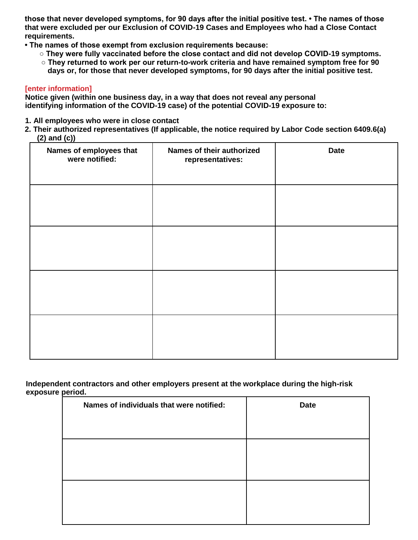**those that never developed symptoms, for 90 days after the initial positive test. • The names of those that were excluded per our Exclusion of COVID-19 Cases and Employees who had a Close Contact requirements.**

**• The names of those exempt from exclusion requirements because:** 

- **They were fully vaccinated before the close contact and did not develop COVID-19 symptoms.**
- **They returned to work per our return-to-work criteria and have remained symptom free for 90 days or, for those that never developed symptoms, for 90 days after the initial positive test.**

## **[enter information]**

**Notice given (within one business day, in a way that does not reveal any personal identifying information of the COVID-19 case) of the potential COVID-19 exposure to:** 

**1. All employees who were in close contact** 

**2. Their authorized representatives (If applicable, the notice required by Labor Code section 6409.6(a) (2) and (c))** 

| Names of employees that<br>were notified: | Names of their authorized<br>representatives: | <b>Date</b> |
|-------------------------------------------|-----------------------------------------------|-------------|
|                                           |                                               |             |
|                                           |                                               |             |
|                                           |                                               |             |
|                                           |                                               |             |

**Independent contractors and other employers present at the workplace during the high-risk exposure period.**

| Names of individuals that were notified: | <b>Date</b> |
|------------------------------------------|-------------|
|                                          |             |
|                                          |             |
|                                          |             |
|                                          |             |
|                                          |             |
|                                          |             |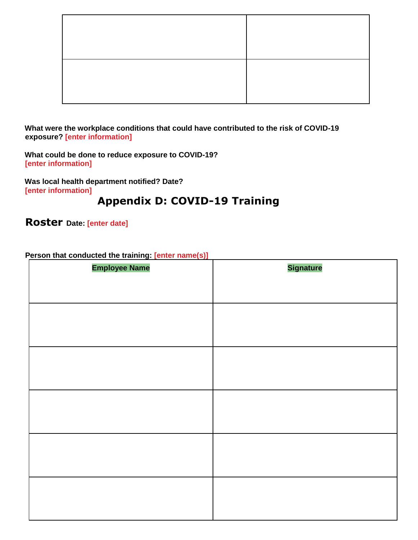**What were the workplace conditions that could have contributed to the risk of COVID-19 exposure? [enter information]** 

**What could be done to reduce exposure to COVID-19? [enter information]** 

**Was local health department notified? Date? [enter information]**

# **Appendix D: COVID-19 Training**

**Roster Date: [enter date]** 

# **Person that conducted the training: [enter name(s)]**

| <b>Employee Name</b> | <b>Signature</b> |
|----------------------|------------------|
|                      |                  |
|                      |                  |
|                      |                  |
|                      |                  |
|                      |                  |
|                      |                  |
|                      |                  |
|                      |                  |
|                      |                  |
|                      |                  |
|                      |                  |
|                      |                  |
|                      |                  |
|                      |                  |
|                      |                  |
|                      |                  |
|                      |                  |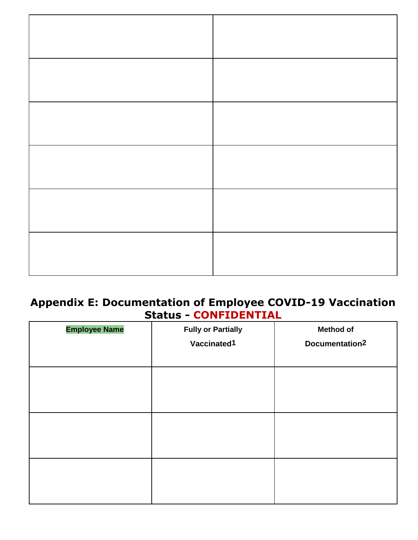# **Appendix E: Documentation of Employee COVID-19 Vaccination Status - CONFIDENTIAL**

| <b>Employee Name</b> | <b>Fully or Partially</b><br>Vaccinated1 | <b>Method of</b><br>Documentation2 |
|----------------------|------------------------------------------|------------------------------------|
|                      |                                          |                                    |
|                      |                                          |                                    |
|                      |                                          |                                    |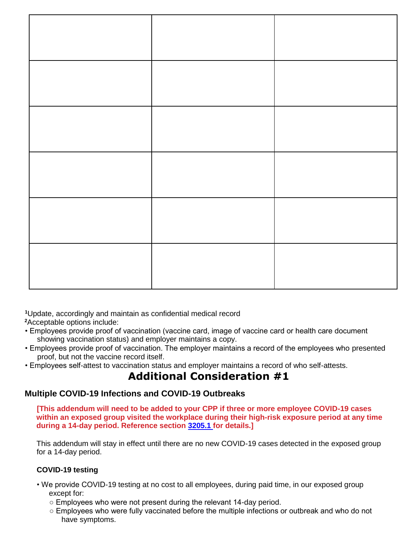**<sup>1</sup>**Update, accordingly and maintain as confidential medical record

**<sup>2</sup>**Acceptable options include:

- Employees provide proof of vaccination (vaccine card, image of vaccine card or health care document showing vaccination status) and employer maintains a copy.
- Employees provide proof of vaccination. The employer maintains a record of the employees who presented proof, but not the vaccine record itself.
- Employees self-attest to vaccination status and employer maintains a record of who self-attests.

# **Additional Consideration #1**

# **Multiple COVID-19 Infections and COVID-19 Outbreaks**

**[This addendum will need to be added to your CPP if three or more employee COVID-19 cases within an exposed group visited the workplace during their high-risk exposure period at any time during a 14-day period. Reference section 3205.1 for details.]** 

This addendum will stay in effect until there are no new COVID-19 cases detected in the exposed group for a 14-day period.

# **COVID-19 testing**

- We provide COVID-19 testing at no cost to all employees, during paid time, in our exposed group except for:
	- Employees who were not present during the relevant 14-day period.
	- Employees who were fully vaccinated before the multiple infections or outbreak and who do not have symptoms.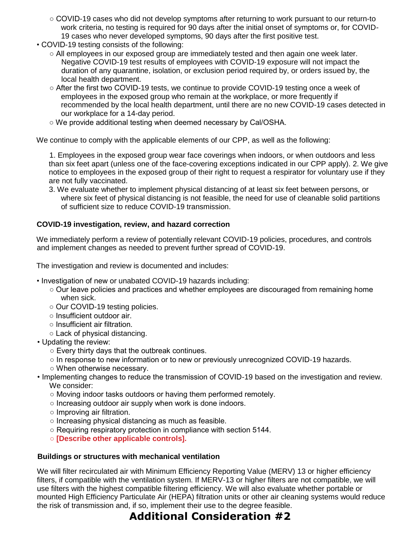- COVID-19 cases who did not develop symptoms after returning to work pursuant to our return-to work criteria, no testing is required for 90 days after the initial onset of symptoms or, for COVID-19 cases who never developed symptoms, 90 days after the first positive test.
- COVID-19 testing consists of the following:
	- All employees in our exposed group are immediately tested and then again one week later. Negative COVID-19 test results of employees with COVID-19 exposure will not impact the duration of any quarantine, isolation, or exclusion period required by, or orders issued by, the local health department.
	- After the first two COVID-19 tests, we continue to provide COVID-19 testing once a week of employees in the exposed group who remain at the workplace, or more frequently if recommended by the local health department, until there are no new COVID-19 cases detected in our workplace for a 14-day period.
	- We provide additional testing when deemed necessary by Cal/OSHA.

We continue to comply with the applicable elements of our CPP, as well as the following:

1. Employees in the exposed group wear face coverings when indoors, or when outdoors and less than six feet apart (unless one of the face-covering exceptions indicated in our CPP apply). 2. We give notice to employees in the exposed group of their right to request a respirator for voluntary use if they are not fully vaccinated.

3. We evaluate whether to implement physical distancing of at least six feet between persons, or where six feet of physical distancing is not feasible, the need for use of cleanable solid partitions of sufficient size to reduce COVID-19 transmission.

# **COVID-19 investigation, review, and hazard correction**

We immediately perform a review of potentially relevant COVID-19 policies, procedures, and controls and implement changes as needed to prevent further spread of COVID-19.

The investigation and review is documented and includes:

- Investigation of new or unabated COVID-19 hazards including:
	- Our leave policies and practices and whether employees are discouraged from remaining home when sick.
	- Our COVID-19 testing policies.
	- Insufficient outdoor air.
	- Insufficient air filtration.
	- Lack of physical distancing.
- Updating the review:
	- Every thirty days that the outbreak continues.
	- In response to new information or to new or previously unrecognized COVID-19 hazards.
	- When otherwise necessary.
- Implementing changes to reduce the transmission of COVID-19 based on the investigation and review. We consider:
	- Moving indoor tasks outdoors or having them performed remotely.
	- Increasing outdoor air supply when work is done indoors.
	- Improving air filtration.
	- Increasing physical distancing as much as feasible.
	- Requiring respiratory protection in compliance with section 5144.
	- **[Describe other applicable controls].**

#### **Buildings or structures with mechanical ventilation**

We will filter recirculated air with Minimum Efficiency Reporting Value (MERV) 13 or higher efficiency filters, if compatible with the ventilation system. If MERV-13 or higher filters are not compatible, we will use filters with the highest compatible filtering efficiency. We will also evaluate whether portable or mounted High Efficiency Particulate Air (HEPA) filtration units or other air cleaning systems would reduce the risk of transmission and, if so, implement their use to the degree feasible.

# **Additional Consideration #2**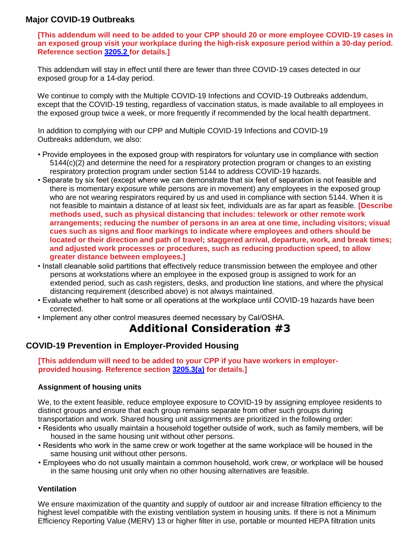# **Major COVID-19 Outbreaks**

**[This addendum will need to be added to your CPP should 20 or more employee COVID-19 cases in an exposed group visit your workplace during the high-risk exposure period within a 30-day period. Reference section 3205.2 for details.]** 

This addendum will stay in effect until there are fewer than three COVID-19 cases detected in our exposed group for a 14-day period.

We continue to comply with the Multiple COVID-19 Infections and COVID-19 Outbreaks addendum, except that the COVID-19 testing, regardless of vaccination status, is made available to all employees in the exposed group twice a week, or more frequently if recommended by the local health department.

In addition to complying with our CPP and Multiple COVID-19 Infections and COVID-19 Outbreaks addendum, we also:

- Provide employees in the exposed group with respirators for voluntary use in compliance with section 5144(c)(2) and determine the need for a respiratory protection program or changes to an existing respiratory protection program under section 5144 to address COVID-19 hazards.
- Separate by six feet (except where we can demonstrate that six feet of separation is not feasible and there is momentary exposure while persons are in movement) any employees in the exposed group who are not wearing respirators required by us and used in compliance with section 5144. When it is not feasible to maintain a distance of at least six feet, individuals are as far apart as feasible. **[Describe methods used, such as physical distancing that includes: telework or other remote work arrangements; reducing the number of persons in an area at one time, including visitors; visual cues such as signs and floor markings to indicate where employees and others should be located or their direction and path of travel; staggered arrival, departure, work, and break times; and adjusted work processes or procedures, such as reducing production speed, to allow greater distance between employees.]**
- Install cleanable solid partitions that effectively reduce transmission between the employee and other persons at workstations where an employee in the exposed group is assigned to work for an extended period, such as cash registers, desks, and production line stations, and where the physical distancing requirement (described above) is not always maintained.
- Evaluate whether to halt some or all operations at the workplace until COVID-19 hazards have been corrected.
- Implement any other control measures deemed necessary by Cal/OSHA.

# **Additional Consideration #3**

# **COVID-19 Prevention in Employer-Provided Housing**

### **[This addendum will need to be added to your CPP if you have workers in employerprovided housing. Reference section 3205.3(a) for details.]**

## **Assignment of housing units**

We, to the extent feasible, reduce employee exposure to COVID-19 by assigning employee residents to distinct groups and ensure that each group remains separate from other such groups during transportation and work. Shared housing unit assignments are prioritized in the following order:

- Residents who usually maintain a household together outside of work, such as family members, will be housed in the same housing unit without other persons.
- Residents who work in the same crew or work together at the same workplace will be housed in the same housing unit without other persons.
- Employees who do not usually maintain a common household, work crew, or workplace will be housed in the same housing unit only when no other housing alternatives are feasible.

## **Ventilation**

We ensure maximization of the quantity and supply of outdoor air and increase filtration efficiency to the highest level compatible with the existing ventilation system in housing units. If there is not a Minimum Efficiency Reporting Value (MERV) 13 or higher filter in use, portable or mounted HEPA filtration units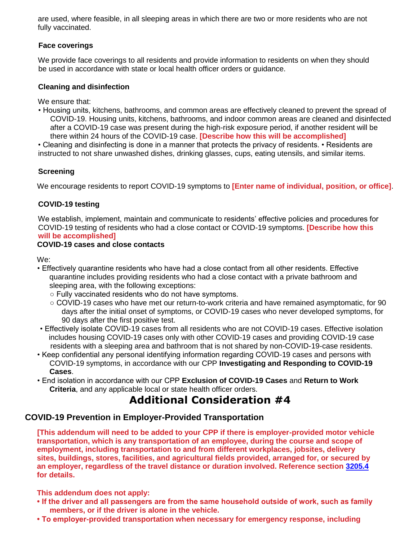are used, where feasible, in all sleeping areas in which there are two or more residents who are not fully vaccinated.

# **Face coverings**

We provide face coverings to all residents and provide information to residents on when they should be used in accordance with state or local health officer orders or guidance.

### **Cleaning and disinfection**

We ensure that:

• Housing units, kitchens, bathrooms, and common areas are effectively cleaned to prevent the spread of COVID-19. Housing units, kitchens, bathrooms, and indoor common areas are cleaned and disinfected after a COVID-19 case was present during the high-risk exposure period, if another resident will be there within 24 hours of the COVID-19 case. **[Describe how this will be accomplished]** 

• Cleaning and disinfecting is done in a manner that protects the privacy of residents. • Residents are instructed to not share unwashed dishes, drinking glasses, cups, eating utensils, and similar items.

## **Screening**

We encourage residents to report COVID-19 symptoms to **[Enter name of individual, position, or office]**.

## **COVID-19 testing**

We establish, implement, maintain and communicate to residents' effective policies and procedures for COVID-19 testing of residents who had a close contact or COVID-19 symptoms. **[Describe how this will be accomplished]**

### **COVID-19 cases and close contacts**

We:

- Effectively quarantine residents who have had a close contact from all other residents. Effective quarantine includes providing residents who had a close contact with a private bathroom and sleeping area, with the following exceptions:
	- Fully vaccinated residents who do not have symptoms.
	- COVID-19 cases who have met our return-to-work criteria and have remained asymptomatic, for 90 days after the initial onset of symptoms, or COVID-19 cases who never developed symptoms, for 90 days after the first positive test.
- Effectively isolate COVID-19 cases from all residents who are not COVID-19 cases. Effective isolation includes housing COVID-19 cases only with other COVID-19 cases and providing COVID-19 case residents with a sleeping area and bathroom that is not shared by non-COVID-19-case residents.
- Keep confidential any personal identifying information regarding COVID-19 cases and persons with COVID-19 symptoms, in accordance with our CPP **Investigating and Responding to COVID-19 Cases**.
- End isolation in accordance with our CPP **Exclusion of COVID-19 Cases** and **Return to Work Criteria**, and any applicable local or state health officer orders.

# **Additional Consideration #4**

## **COVID-19 Prevention in Employer-Provided Transportation**

**[This addendum will need to be added to your CPP if there is employer-provided motor vehicle transportation, which is any transportation of an employee, during the course and scope of employment, including transportation to and from different workplaces, jobsites, delivery sites, buildings, stores, facilities, and agricultural fields provided, arranged for, or secured by an employer, regardless of the travel distance or duration involved. Reference section 3205.4 for details.** 

**This addendum does not apply:** 

- **If the driver and all passengers are from the same household outside of work, such as family members, or if the driver is alone in the vehicle.**
- **To employer-provided transportation when necessary for emergency response, including**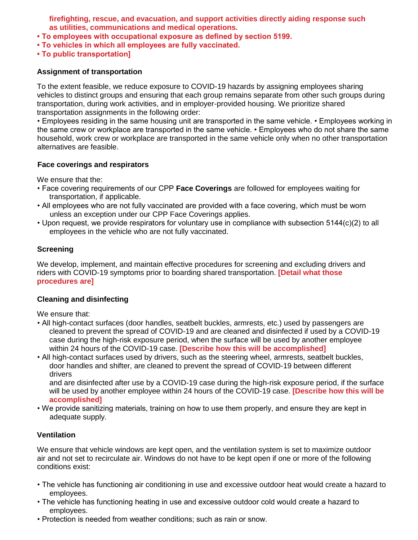**firefighting, rescue, and evacuation, and support activities directly aiding response such as utilities, communications and medical operations.** 

- **To employees with occupational exposure as defined by section 5199.**
- **To vehicles in which all employees are fully vaccinated.**
- **To public transportation]**

### **Assignment of transportation**

To the extent feasible, we reduce exposure to COVID-19 hazards by assigning employees sharing vehicles to distinct groups and ensuring that each group remains separate from other such groups during transportation, during work activities, and in employer-provided housing. We prioritize shared transportation assignments in the following order:

• Employees residing in the same housing unit are transported in the same vehicle. • Employees working in the same crew or workplace are transported in the same vehicle. • Employees who do not share the same household, work crew or workplace are transported in the same vehicle only when no other transportation alternatives are feasible.

### **Face coverings and respirators**

We ensure that the:

- Face covering requirements of our CPP **Face Coverings** are followed for employees waiting for transportation, if applicable.
- All employees who are not fully vaccinated are provided with a face covering, which must be worn unless an exception under our CPP Face Coverings applies.
- Upon request, we provide respirators for voluntary use in compliance with subsection 5144(c)(2) to all employees in the vehicle who are not fully vaccinated.

### **Screening**

We develop, implement, and maintain effective procedures for screening and excluding drivers and riders with COVID-19 symptoms prior to boarding shared transportation. **[Detail what those procedures are]** 

#### **Cleaning and disinfecting**

We ensure that:

- All high-contact surfaces (door handles, seatbelt buckles, armrests, etc.) used by passengers are cleaned to prevent the spread of COVID-19 and are cleaned and disinfected if used by a COVID-19 case during the high-risk exposure period, when the surface will be used by another employee within 24 hours of the COVID-19 case. **[Describe how this will be accomplished]**
- All high-contact surfaces used by drivers, such as the steering wheel, armrests, seatbelt buckles, door handles and shifter, are cleaned to prevent the spread of COVID-19 between different drivers

and are disinfected after use by a COVID-19 case during the high-risk exposure period, if the surface will be used by another employee within 24 hours of the COVID-19 case. **[Describe how this will be accomplished]** 

• We provide sanitizing materials, training on how to use them properly, and ensure they are kept in adequate supply.

### **Ventilation**

We ensure that vehicle windows are kept open, and the ventilation system is set to maximize outdoor air and not set to recirculate air. Windows do not have to be kept open if one or more of the following conditions exist:

- The vehicle has functioning air conditioning in use and excessive outdoor heat would create a hazard to employees.
- The vehicle has functioning heating in use and excessive outdoor cold would create a hazard to employees.
- Protection is needed from weather conditions; such as rain or snow.